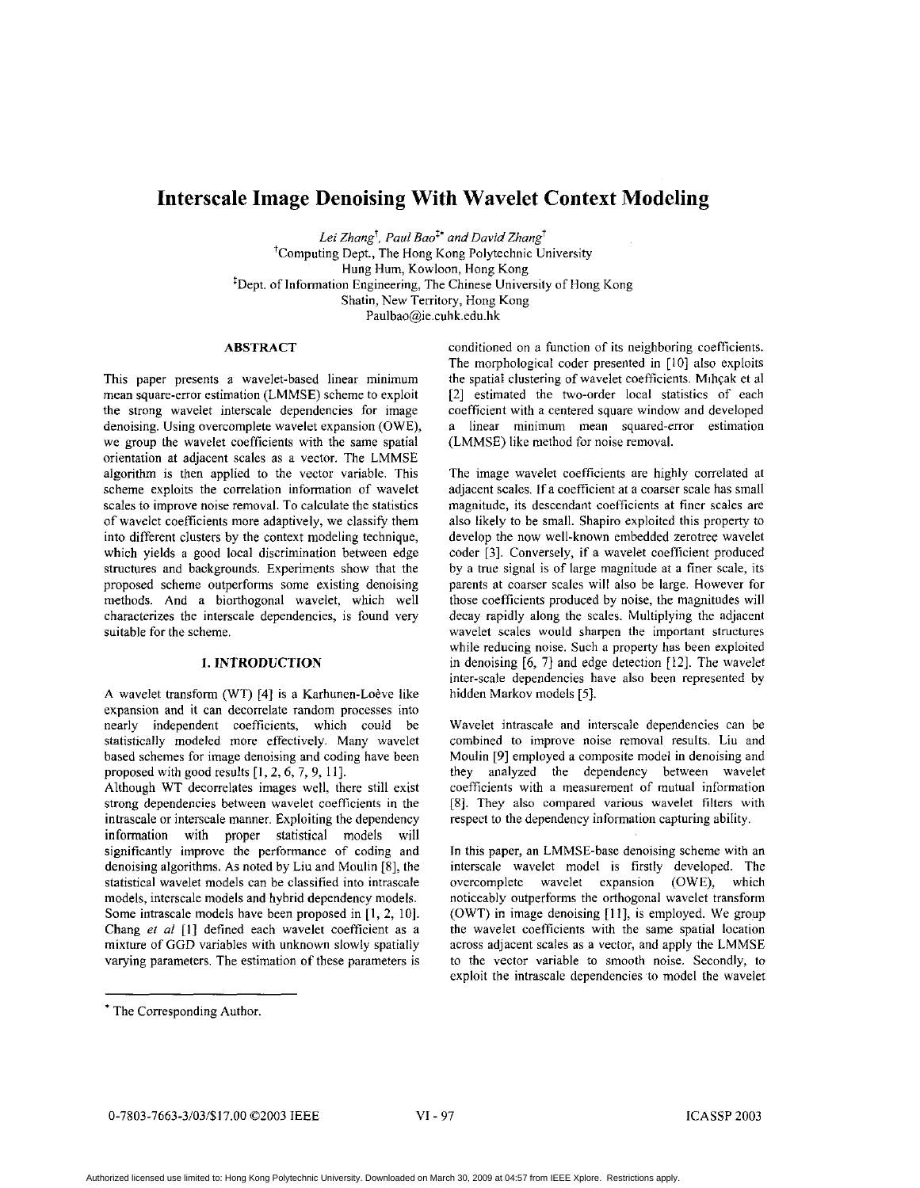# **Interscale Image Denoising With Wavelet Context Modeling**

*Lei Zhangr, Paul Boo" and David Zhang'*  'Computing Dept., The Hong Kong Polytechnic University Hung Hum, Kowloon, Hong Kong 'Dept. of Information Engineering, The Chinese University of Hong Kong Shatin, New Territory, Hong Kong Paulbao@ie.cuhk.edu.hk

## **ABSTRACT**

This paper presents a wavelet-based linear minimum mean square-error estimation (LMMSE) scheme to exploit the strong wavelet interscale dependencies for image denoising. Using overcomplete wavelet expansion (OWE), we group the wavelet coefficients with the same spatial orientation at adjacent scales as a vector. The LMMSE algorithm is then applied to the vector variable. This scheme exploits the correlation information of wavelet scales to improve noise removal. To calculate the statistics of wavelet coefficients more adaptively, we classify them into different clusters by the context modeling technique, which yields a good local discrimination between edge structures and backgrounds. Experiments show that the proposed scheme outperforms some existing denoising methods. And a hiorthogonal wavelet, which well characterizes the interscale dependencies, **is** found very suitable for the scheme.

# **1. INTRODUCTION**

A wavelet transform (WT) **[4]** is a Karhunen-Loeve like expansion and it can decorrelate random processes into nearly independent coefficients, which could be statistically modeled more effectively. Many wavelet based schemes for image denoising and coding have been proposed with good results [I, *2,6,* 7, 9, 1 I].

Although WT decorrelates images well, there still exist strong dependencies between wavelet coefficients in the intrascale or interscale manner. Exploiting the dependency information with proper statistical models will significantly improve the performance of coding and denoising algorithms. As noted by Liu and Moulin [8], the statistical wavelet models can he classified into intrascale models, interscale models and hybrid dependency models. Some intrascale models have been proposed in [I, *2,* IO]. Chang *ef al* [I] defined each wavelet coefficient as a mixture of GGD variables with unknown slowly spatially varying parameters. The estimation of these parameters **is** 

conditioned on a function of its neighboring coefficients. The morphological coder presented in [IO] also exploits the spatial clustering of wavelet coefficients. Mihçak et al [2] estimated the two-order local statistics of each coefficient with a centered square window and developed a linear minimum mean squared-error estimation (LMMSE) like method for noise removal.

The image wavelet coefficients are highly correlated at adjacent scales. If a coefficient at a coarser scale has small magnitude, its descendant Coefficients at finer scales are also likely to he small. Shapiro exploited this property to develop the now well-known embedded zerotree wavelet coder *[3].* Conversely, if a wavelet coefficient produced by a true signal is of large magnitude at a finer scale, its parents at coarser scales will also be large. However for those coefficients produced by noise, the magnitudes will decay rapidly along the scales. Multiplying the adjacent wavelet scales would sharpen the important structures while reducing noise. Such a property has been exploited in denoising [6, 71 and edge detection [12]. The wavelet inter-scale dependencies have also been represented by hidden Markov models **[5].** 

Wavelet intrascale and interscale dependencies can be combined to improve noise removal results. Liu and Moulin [9] employed a composite model in denoising and they analyzed the dependency between wavelet coefficients with a measurement of mutual information [8]. They also compared various wavelet filters with respect to the dependency information capturing ability.

In this paper, an LMMSE-base denoising scheme with an interscale wavelet model is firstly developed. The overcomplete wavelet expansion (OWE), which noticeably outperforms the orthogonal wavelet transform (OWT) in image denoising [11], is employed. We group the wavelet coefficients with the same spatial location across adjacent scales as a vector, and apply the LMMSE to the vector variable to smooth noise. Secondly, to exploit the intrascale dependencies to model the wavelet

<sup>\*</sup> The Corresponding Author.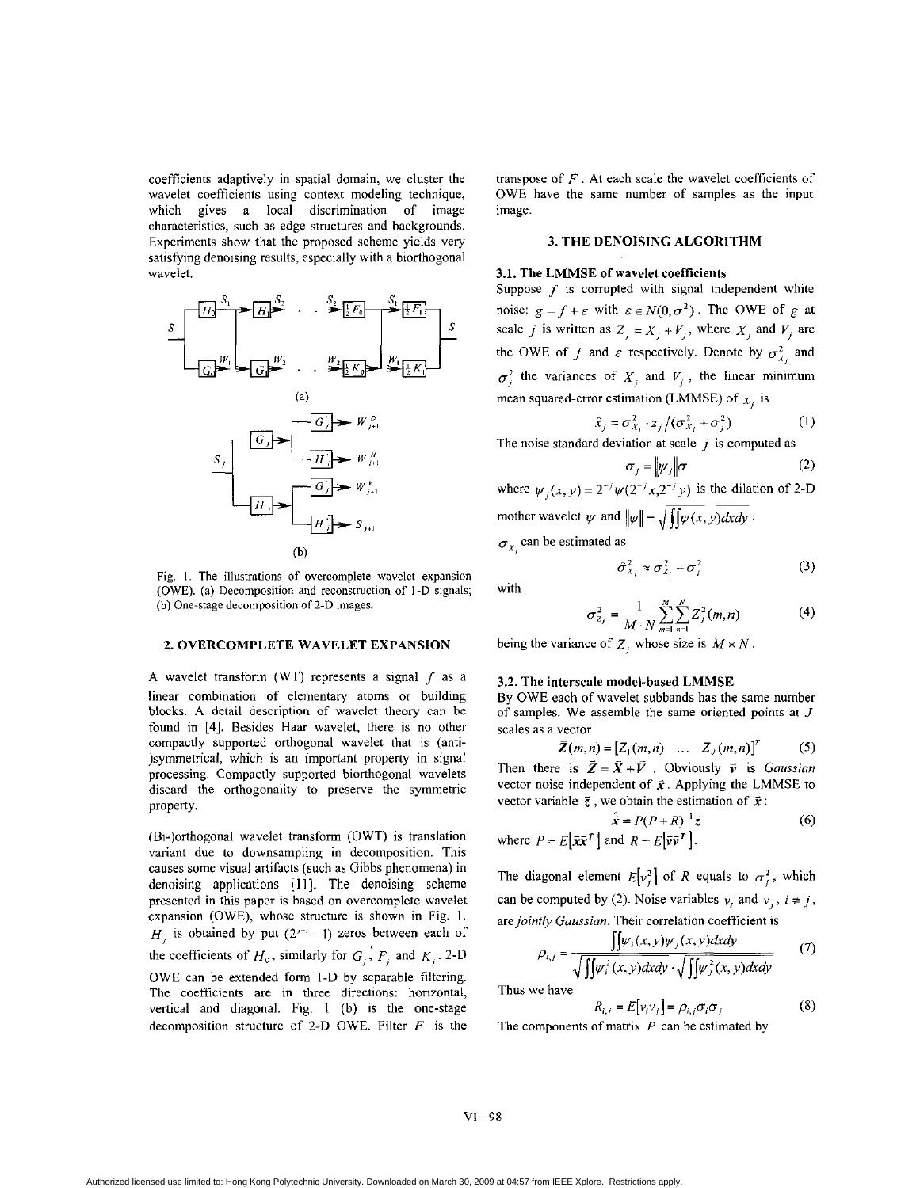coefficients adaptively in spatial domain, we cluster the wavelet coefficients using context modeling technique, which gives a local discrimination of image characteristics, such as edge structures and backgrounds. Experiments show that the proposed scheme yields very satisfying denoising results, especially with a biorthogonal wavelet.



Fig. 1. The illustrations of overcomplete wavelet expansion (OWE). (a) Decomposition and reconstruction of I **-D** signals; (b) One-stage decomposition of 2-D images.

## **2. OVERCOMPLETE WAVELET EXPANSION**

A wavelet transform (WT) represents a signal *f* **as** a linear combination of elementary atoms or building blocks. A detail description of wavelet theory can be found in **[4].** Besides Haar wavelet, there is no other compactly supported orthogonal wavelet that is (anti- )symmetrical, which is an important property in signal processing. Compactly supported biorthogonal wavelets discard the orthogonality to preserve the symmetric property.

(Bi-)orthogonal wavelet transform (OWT) is translation variant due to downsampling in decomposition. This causes some visual artifacts (such as Gibbs phenomena) in denoising applications [ **<sup>1</sup>I].** The denoising scheme presented in this paper is based on overcomplete wavelet expansion (OWE), whose structure is shown in Fig. 1.  $H_i$  is obtained by put  $(2^{j-1}-1)$  zeros between each of the coefficients of  $H_0$ , similarly for  $G_j$ ,  $F_j$  and  $K_j$ . 2-D OWE can be extended form I-D by separable filtering. The coefficients are in three directions: horizontal, vertical and diagonal. Fig. 1 (b) is the one-stage decomposition structure of 2-D OWE. Filter *F'* is the transpose of *F* . At each scale the wavelet coefficients of OWE have the same number of samples as the input image.

#### **3. THE DENOISING ALGORITHM**

#### **3.1. The LMMSE of** wavelet **coefficients**

Suppose  $f$  is corrupted with signal independent white noise:  $g = f + \varepsilon$  with  $\varepsilon \in N(0, \sigma^2)$ . The OWE of *g* at scale *j* is written as  $Z_i = X_i + V_j$ , where  $X_i$  and  $V_j$  are the OWE of f and  $\varepsilon$  respectively. Denote by  $\sigma_{X_i}^2$  and  $\sigma_i^2$  the variances of  $X_i$  and  $V_i$ , the linear minimum mean squared-error estimation (LMMSE) of  $x_i$  is

$$
\hat{x}_j = \sigma_{X_j}^2 \cdot z_j / (\sigma_{X_j}^2 + \sigma_j^2)
$$
 (1)

 $\sigma_j = |\psi_j|\sigma$  (2) The noise standard deviation at scale j is computed as<br>  $\sigma_j = ||\psi_j|| \sigma$  (2) where  $\psi_i(x, y) = 2^{-j} \psi(2^{-j}x, 2^{-j}y)$  is the dilation of 2-D

mother wavelet  $\psi$  and  $\|\psi\| = \sqrt{\int \int \psi(x, y) dx dy}$ .  $\sigma_{X_i}$  can be estimated as

with

$$
\hat{\sigma}_{X_j}^2 \approx \sigma_{Z_j}^2 - \sigma_j^2 \tag{3}
$$

 $(4)$ 

 $\sigma_{Z_j}^2 = \frac{1}{M \cdot N} \sum_{m=1}^{M} \sum_{n=1}^{N} Z_j^2(m, n)$ 

being the variance of  $Z_i$ , whose size is  $M \times N$ .

#### **3.2. The** interscale **model-based LMMSE**

By OWE each of wavelet subbands has the same number of samples. We assemble the same oriented points at *J*  scales as **a** vector

$$
\vec{Z}(m,n) = \begin{bmatrix} Z_1(m,n) & \dots & Z_J(m,n) \end{bmatrix}^T \tag{5}
$$

Then there is  $\vec{Z} = \vec{X} + \vec{V}$ . Obviously  $\vec{v}$  is *Gaussian* vector noise independent of  $\vec{x}$ . Applying the LMMSE to vector variable  $\bar{z}$ , we obtain the estimation of  $\bar{x}$ :

$$
\hat{\vec{x}} = P(P + R)^{-1}\vec{z}
$$
 (6)  
where  $P = E[\vec{x}\vec{x}^T]$  and  $R = E[\vec{v}\vec{v}^T]$ .

The diagonal element  $E[v_j^2]$  of *R* equals to  $\sigma_j^2$ , which can be computed by (2). Noise variables  $v_i$  and  $v_j$ ,  $i \neq j$ , are *jointly Gaussian.* Their correlation coefficient is

$$
\rho_{i,j} = \frac{\iint \psi_i(x, y) \psi_j(x, y) dxdy}{\sqrt{\iint \psi_i^2(x, y) dxdy} \cdot \sqrt{\iint \psi_j^2(x, y) dxdy}}
$$
(7) Thus we have

 $R_{i,j} = E[v_i v_j] = \rho_{i,j} \sigma_i \sigma_j$  (8)

The components of matrix *P* can be estimated by

#### VI - **98**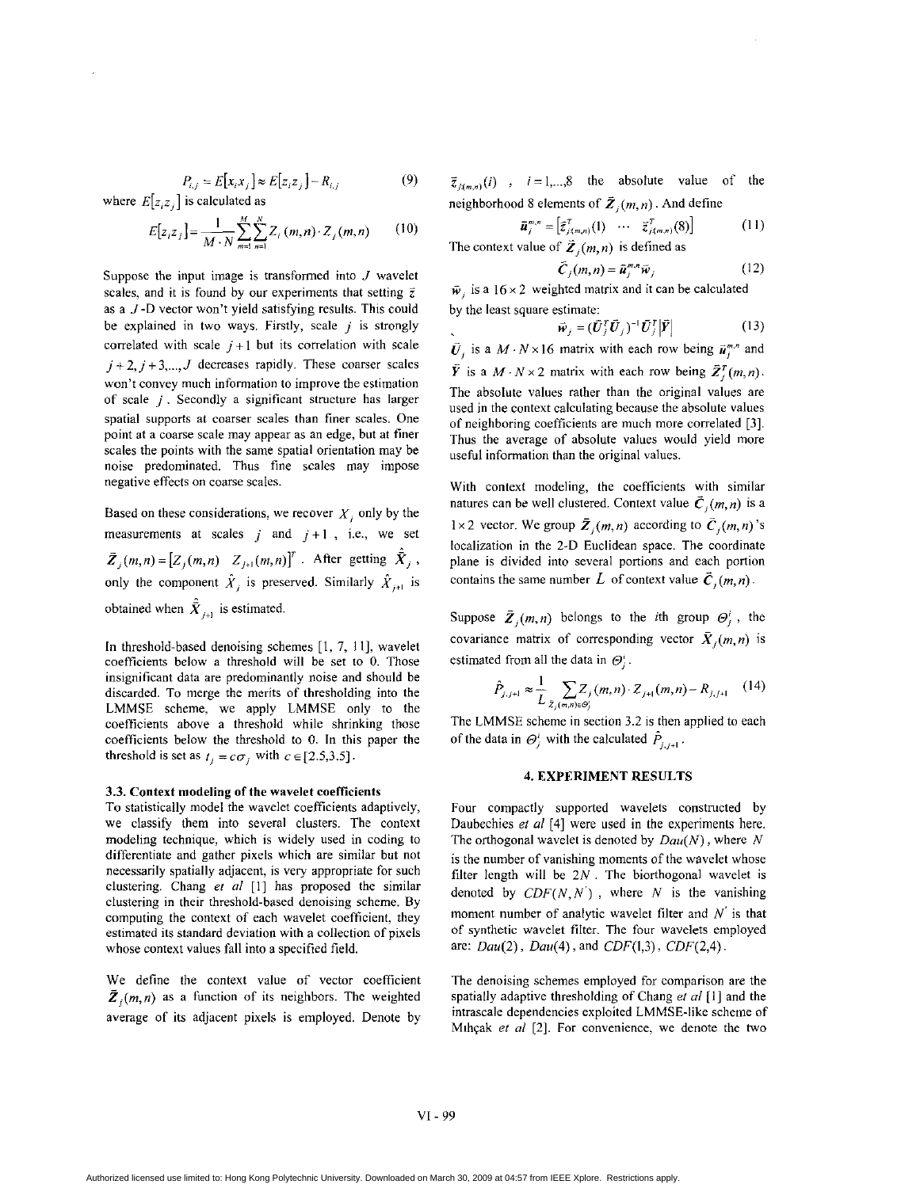$$
P_{i,j} = E[x_i x_j] \approx E[z_i z_j] - R_{i,j} \tag{9}
$$

where  $E[z_iz_j]$  is calculated as

$$
E[z_i z_j] = \frac{1}{M \cdot N} \sum_{m=1}^{M} \sum_{n=1}^{N} Z_i(m,n) \cdot Z_j(m,n) \qquad (10)
$$

Suppose the input image **is** transformed into *J* wavelet scales, and it is found by our experiments that setting  $\overline{z}$ as **a** *J* -D vector won't yield satisfying results. This could be explained in two ways. Firstly, scale *j* **is** strongly correlated with scale  $j+1$  but its correlation with scale  $j + 2$ ,  $j + 3$ ,  $J$  decreases rapidly. These coarser scales won't convey much information to improve the estimation of scale *j* . Secondly a significant structure has larger spatial supports at coarser scales than finer scales. One point at a coarse scale may appear **as** an edge, but at finer scales the points with the same spatial orientation may be noise predominated. Thus fine scales may impose negative effects on coarse scales.

Based on these considerations, we recover  $X_i$  only by the measurements at scales  $j$  and  $j+1$ , i.e., we set  $\bar{Z}_i(m,n) = [Z_i(m,n) \quad Z_{i+1}(m,n)]^T$ . After getting  $\hat{\bar{X}}_i$ , only the component  $\hat{X}_j$  is preserved. Similarly  $\hat{X}_{j+1}$  is obtained when  $\hat{\vec{X}}_{i+1}$  is estimated.

In threshold-based denoising schemes [I, 7, 1 I], wavelet Coefficients below **a** threshold will be set to 0. Those insignificant data are predominantly noise and should be discarded. To merge the merits of thresholding into the LMMSE scheme, we apply LMMSE only to the coefficients above a threshold while shrinking those coefficients below the threshold to 0. In this paper the threshold is set as  $t_j = c\sigma_j$  with  $c \in [2.5,3.5]$ .

#### **3.3.** Context modeling **of** the wavelet coeficients

To statistically model the wavelet coefficients adaptively, we classify them into several clusters. The context modeling technique, which is widely used in coding to differentiate and gather pixels which are similar but not necessarily spatially adjacent, is very appropriate for such clustering. Chang *er a/* [I] has proposed the similar clustering in their threshold-based denoising scheme. By computing the context of each wavelet coefficient, they estimated its standard deviation with a collection of pixels whose context values fall into a specified field.

We define the context value of vector coefficient  $\bar{Z}_i(m,n)$  as a function of its neighbors. The weighted average of its adjacent pixels is employed. Denote by

 $\vec{z}_{j(m,n)}(i)$ ,  $i = 1,...,8$  the absolute value of the neighborhood 8 elements of  $\vec{Z}_i(m,n)$ . And define

$$
\bar{u}_{j}^{m,n} = \left[\bar{z}_{j(m,n)}^T(1) \cdots \bar{z}_{j(m,n)}^T(8)\right]
$$
\nThe context value of  $\bar{Z}_{j}(m,n)$  is defined as\n
$$
\bar{z}_{j(m,n)}^T(8) = \sum_{j=1}^{n} \bar{z}_{j(m,n)}^T(8)
$$

$$
\bar{C}_j(m,n) = \bar{u}_j^{m,n} \bar{w}_j \tag{12}
$$

 $\vec{w}_i$  is a 16 × 2 weighted matrix and it can be calculated by the least square estimate:

$$
\vec{\boldsymbol{w}}_j = (\vec{\boldsymbol{U}}_j^T \vec{\boldsymbol{U}}_j)^{-1} \vec{\boldsymbol{U}}_j^T \left| \vec{\boldsymbol{Y}} \right| \tag{13}
$$

 $\vec{U}_i$  is a  $M \cdot N \times 16$  matrix with each row being  $\vec{u}_i^{m,n}$  and  $\tilde{Y}$  is a *M* · *N* × 2 matrix with each row being  $\tilde{Z}_i^T(m, n)$ . The absolute values rather than the original values are used **in** the context calculating because the absolute values of neighboring coefficients are much more correlated *[3].*  Thus the average of absolute values would yield more useful information than the original values.

With context modeling, the coefficients with similar natures can be well clustered. Context value  $\vec{C}_i(m,n)$  is a 1 × 2 vector. We group  $\bar{Z}_j(m,n)$  according to  $\bar{C}_j(m,n)$ 's localization in the 2-D Euclidean space. The coordinate plane is divided into several portions and each portion contains the same number L of context value  $\vec{C}_i(m,n)$ .

Suppose  $\overline{Z}_i(m,n)$  belongs to the *i*th group  $\Theta_i^i$ , the covariance matrix of corresponding vector  $\bar{X}_i(m, n)$  is estimated from all the data in  $\Theta_i^i$ .

$$
\hat{P}_{j,j+1} \approx \frac{1}{L} \sum_{\bar{Z}_j(m,n) \in \mathcal{O}_j^i} Z_j(m,n) \cdot Z_{j+1}(m,n) - R_{j,j+1} \quad (14)
$$

The LMMSE scheme in section 3.2 is then applied to each of the data in  $\Theta_i^i$  with the calculated  $P_{i,j+1}$ .

## **4. EXPERIMENT RESULTS**

Four compactly supported wavelets constructed by Daubechies *et a/* [4] were used in the experiments here. The orthogonal wavelet **is** denoted by *Dau(N)* , where *<sup>N</sup>* is the number of vanishing moments of the wavelet whose filter length will be  $2N$ . The biorthogonal wavelet is denoted by  $CDF(N, N')$ , where *N* is the vanishing moment number of analytic wavelet filter and  $N'$  is that of synthetic wavelet filter. The four wavelets employed are: *Dau(2), Dau(4),* and *CDF(1,3), CDF(2,4).* 

The denoising schemes employed for comparison are the spatially adaptive thresholding of Chang *et a/* **[I]** and the intrascale dependencies exploited LMMSE-like scheme of Mihçak et *al* [2]. For convenience, we denote the two